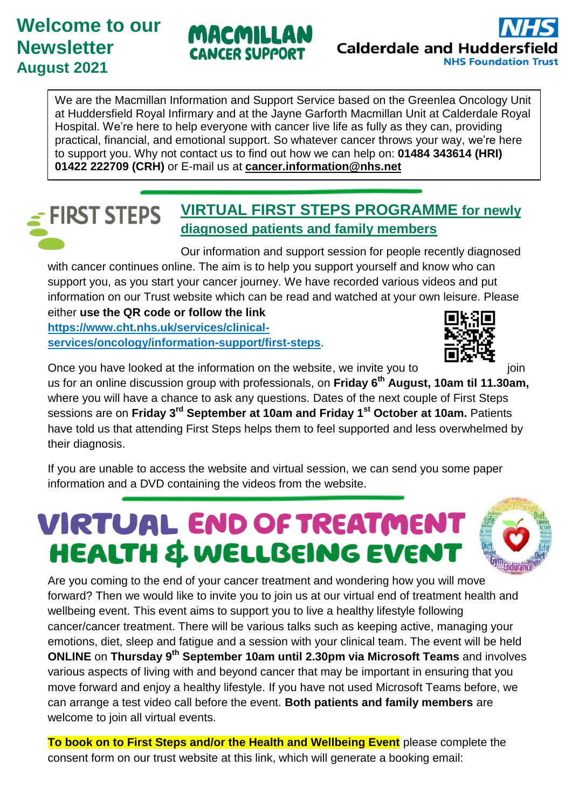### **Welcome to our Newsletter August 2021**





We are the Macmillan Information and Support Service based on the Greenlea Oncology Unit at Huddersfield Royal Infirmary and at the Jayne Garforth Macmillan Unit at Calderdale Royal Hospital. We're here to help everyone with cancer live life as fully as they can, providing practical, financial, and emotional support. So whatever cancer throws your way, we're here to support you. Why not contact us to find out how we can help on: **01484 343614 (HRI) 01422 222709 (CRH)** or E-mail us at **[cancer.information@nhs.net](mailto:cancer.information@nhs.net)**

#### **VIRTUAL FIRST STEPS PROGRAMME for newly FIRST STEPS diagnosed patients and family members**

Our information and support session for people recently diagnosed with cancer continues online. The aim is to help you support yourself and know who can support you, as you start your cancer journey. We have recorded various videos and put information on our Trust website which can be read and watched at your own leisure. Please either **use the QR code or follow the link** 

**[https://www.cht.nhs.uk/services/clinical](https://www.cht.nhs.uk/services/clinical-services/oncology/information-support/first-steps)[services/oncology/information-support/first-steps](https://www.cht.nhs.uk/services/clinical-services/oncology/information-support/first-steps)**.



Once you have looked at the information on the website, we invite you to  $\begin{array}{ccc}\n\hline\n\end{array}$   $\begin{array}{ccc}\n\hline\n\end{array}$  join us for an online discussion group with professionals, on **Friday 6 th August, 10am til 11.30am,**

where you will have a chance to ask any questions. Dates of the next couple of First Steps sessions are on **Friday 3 rd September at 10am and Friday 1st October at 10am.** Patients have told us that attending First Steps helps them to feel supported and less overwhelmed by their diagnosis.

If you are unable to access the website and virtual session, we can send you some paper information and a DVD containing the videos from the website.

## VIRTUAL END OF TREATMENT **HEALTH & WELLBEING EVENT**



Are you coming to the end of your cancer treatment and wondering how you will move forward? Then we would like to invite you to join us at our virtual end of treatment health and wellbeing event. This event aims to support you to live a healthy lifestyle following cancer/cancer treatment. There will be various talks such as keeping active, managing your emotions, diet, sleep and fatigue and a session with your clinical team. The event will be held **ONLINE** on **Thursday 9th September 10am until 2.30pm via Microsoft Teams** and involves various aspects of living with and beyond cancer that may be important in ensuring that you move forward and enjoy a healthy lifestyle. If you have not used Microsoft Teams before, we can arrange a test video call before the event. **Both patients and family members** are welcome to join all virtual events.

**To book on to First Steps and/or the Health and Wellbeing Event** please complete the consent form on our trust website at this link, which will generate a booking email: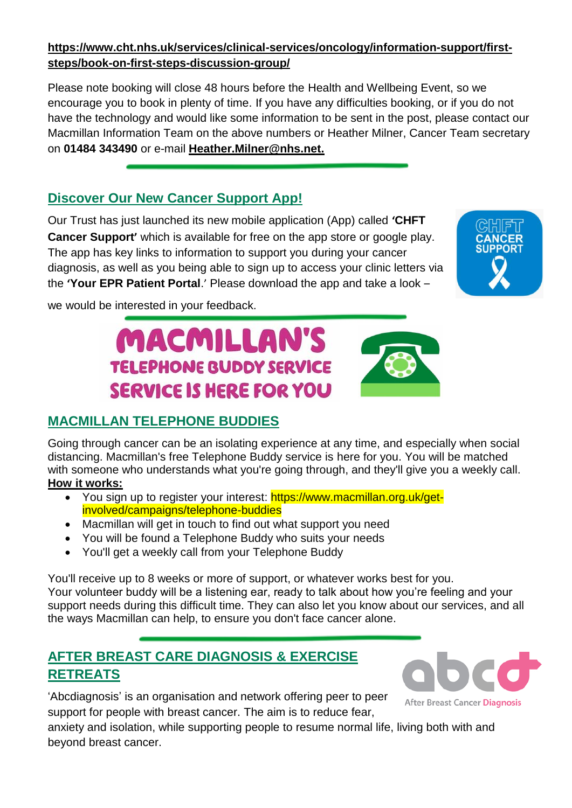#### **https://www.cht.nhs.uk/services/clinical-services/oncology/information-support/firststeps/book-on-first-steps-discussion-group/**

Please note booking will close 48 hours before the Health and Wellbeing Event, so we encourage you to book in plenty of time. If you have any difficulties booking, or if you do not have the technology and would like some information to be sent in the post, please contact our Macmillan Information Team on the above numbers or Heather Milner, Cancer Team secretary on **01484 343490** or e-mail **[Heather.Milner@nhs.net.](mailto:Heather.Milner@nhs.net)** 

#### **Discover Our New Cancer Support App!**

Our Trust has just launched its new mobile application (App) called **'CHFT Cancer Support'** which is available for free on the app store or google play. The app has key links to information to support you during your cancer diagnosis, as well as you being able to sign up to access your clinic letters via the **'Your EPR Patient Portal**.' Please download the app and take a look –

**MACMILLAN'S** 

**TELEPHONE BUDDY SERVICE** 

**SERVICE IS HERE FOR YOU** 

we would be interested in your feedback.

#### **MACMILLAN TELEPHONE BUDDIES**

Going through cancer can be an isolating experience at any time, and especially when social distancing. Macmillan's free Telephone Buddy service is here for you. You will be matched with someone who understands what you're going through, and they'll give you a weekly call. **How it works:**

- You sign up to register your interest: https://www.macmillan.org.uk/getinvolved/campaigns/telephone-buddies
- Macmillan will get in touch to find out what support you need
- You will be found a Telephone Buddy who suits your needs
- You'll get a weekly call from your Telephone Buddy

You'll receive up to 8 weeks or more of support, or whatever works best for you. Your volunteer buddy will be a listening ear, ready to talk about how you're feeling and your support needs during this difficult time. They can also let you know about our services, and all the ways Macmillan can help, to ensure you don't face cancer alone.

#### **AFTER BREAST CARE DIAGNOSIS & EXERCISE RETREATS**

'Abcdiagnosis' is an organisation and network offering peer to peer support for people with breast cancer. The aim is to reduce fear,



After Breast Cancer Diagnosis

anxiety and isolation, while supporting people to resume normal life, living both with and beyond breast cancer.



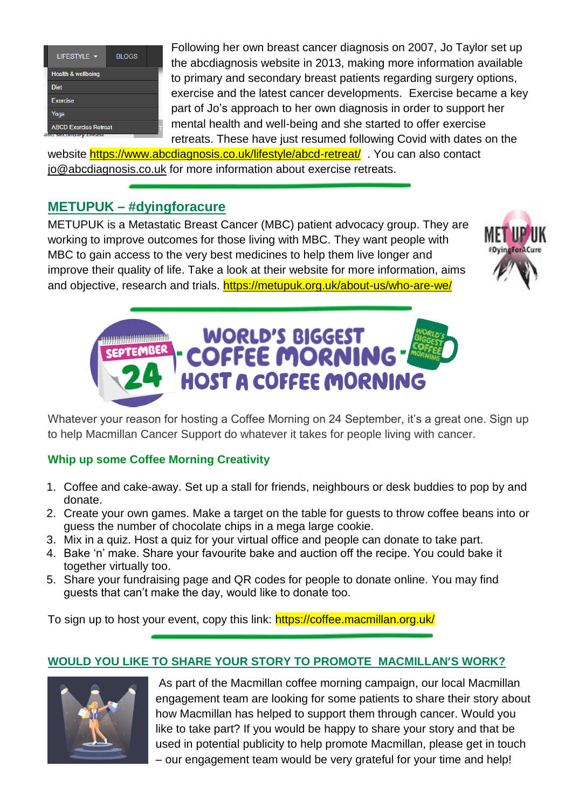| LIFESTYLE <b>v</b>                                   | <b>BLOGS</b> |
|------------------------------------------------------|--------------|
| <b>Health &amp; wellbeing</b>                        |              |
| <b>Diet</b>                                          |              |
| <b>Exercise</b>                                      |              |
| Yoga                                                 |              |
| <b>ABCD Exercise Retreat</b><br>and secondary preasu |              |

Following her own breast cancer diagnosis on 2007, Jo Taylor set up the abcdiagnosis website in 2013, making more information available to primary and secondary breast patients regarding surgery options, exercise and the latest cancer developments. Exercise became a key part of Jo's approach to her own diagnosis in order to support her mental health and well-being and she started to offer exercise retreats. These have just resumed following Covid with dates on the

website <https://www.abcdiagnosis.co.uk/lifestyle/abcd-retreat/> . You can also contact [jo@abcdiagnosis.co.uk](mailto:jo@abcdiagnosis.co.uk) for more information about exercise retreats.

#### **METUPUK – #dyingforacure**

METUPUK is a Metastatic Breast Cancer (MBC) patient advocacy group. They are working to improve outcomes for those living with MBC. They want people with MBC to gain access to the very best medicines to help them live longer and improve their quality of life. Take a look at their website for more information, aims and objective, research and trials.<https://metupuk.org.uk/about-us/who-are-we/>





Whatever your reason for hosting a Coffee Morning on 24 September, it's a great one. Sign up to help Macmillan Cancer Support do whatever it takes for people living with cancer.

#### **Whip up some Coffee Morning Creativity**

- 1. Coffee and cake-away. Set up a stall for friends, neighbours or desk buddies to pop by and donate.
- 2. Create your own games. Make a target on the table for guests to throw coffee beans into or guess the number of chocolate chips in a mega large cookie.
- 3. Mix in a quiz. Host a quiz for your virtual office and people can donate to take part.
- 4. Bake 'n' make. Share your favourite bake and auction off the recipe. You could bake it together virtually too.
- 5. Share your fundraising page and QR codes for people to donate online. You may find guests that can't make the day, would like to donate too.

To sign up to host your event, copy this link: https://coffee.macmillan.org.uk/

#### **WOULD YOU LIKE TO SHARE YOUR STORY TO PROMOTE MACMILLAN'S WORK?**



As part of the Macmillan coffee morning campaign, our local Macmillan engagement team are looking for some patients to share their story about how Macmillan has helped to support them through cancer. Would you like to take part? If you would be happy to share your story and that be used in potential publicity to help promote Macmillan, please get in touch – our engagement team would be very grateful for your time and help!